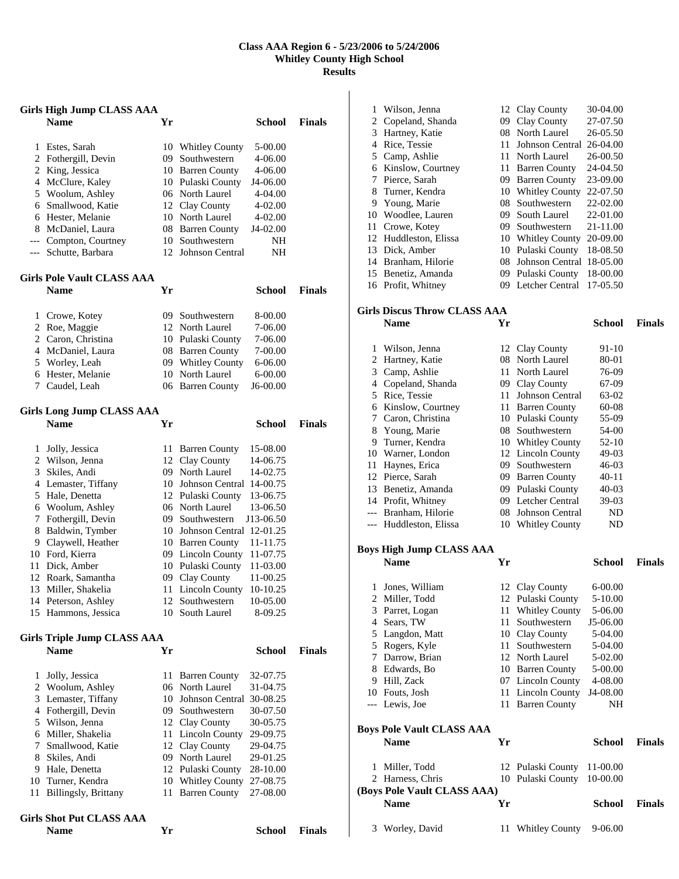## **Class AAA Region 6 - 5/23/2006 to 5/24/2006 Whitley County High School Results**

|                | Girls High Jump CLASS AAA          |     |                             |               |               |
|----------------|------------------------------------|-----|-----------------------------|---------------|---------------|
|                | <b>Name</b>                        | Yr  |                             | School        | <b>Finals</b> |
| 1              | Estes, Sarah                       |     | 10 Whitley County           | 5-00.00       |               |
| 2              | Fothergill, Devin                  |     | 09 Southwestern             | 4-06.00       |               |
| $\overline{c}$ | King, Jessica                      |     | 10 Barren County            | 4-06.00       |               |
| 4              | McClure, Kaley                     |     | 10 Pulaski County           | J4-06.00      |               |
|                | 5 Woolum, Ashley                   |     | 06 North Laurel             | 4-04.00       |               |
|                | 6 Smallwood, Katie                 |     | 12 Clay County              | 4-02.00       |               |
|                | 6 Hester, Melanie                  |     | 10 North Laurel             | 4-02.00       |               |
|                | 8 McDaniel, Laura                  |     | 08 Barren County            | J4-02.00      |               |
| ---            | Compton, Courtney                  | 10  | Southwestern                | NH            |               |
| ---            | Schutte, Barbara                   |     | 12 Johnson Central          | NΗ            |               |
|                | <b>Girls Pole Vault CLASS AAA</b>  |     |                             |               |               |
|                | <b>Name</b>                        | Yr  |                             | School        | <b>Finals</b> |
| 1              | Crowe, Kotey                       | 09. | Southwestern                | 8-00.00       |               |
| 2              | Roe, Maggie                        |     | 12 North Laurel             | 7-06.00       |               |
|                | 2 Caron, Christina                 |     | 10 Pulaski County           | 7-06.00       |               |
|                | 4 McDaniel, Laura                  |     | 08 Barren County            | 7-00.00       |               |
| 5              | Worley, Leah                       |     | 09 Whitley County           | 6-06.00       |               |
| 6              | Hester, Melanie                    | 10  | North Laurel                | 6-00.00       |               |
| 7              | Caudel, Leah                       |     | 06 Barren County            | J6-00.00      |               |
|                | Girls Long Jump CLASS AAA          |     |                             |               |               |
|                | <b>Name</b>                        | Yr  |                             | School        | <b>Finals</b> |
| 1              | Jolly, Jessica                     | 11  | <b>Barren County</b>        | 15-08.00      |               |
|                | 2 Wilson, Jenna                    |     | 12 Clay County              | 14-06.75      |               |
| 3              | Skiles, Andi                       |     | 09 North Laurel             | 14-02.75      |               |
| 4              | Lemaster, Tiffany                  |     | 10 Johnson Central          | 14-00.75      |               |
| 5              | Hale, Denetta                      |     | 12 Pulaski County           | 13-06.75      |               |
|                | 6 Woolum, Ashley                   |     | 06 North Laurel             | 13-06.50      |               |
| 7              | Fothergill, Devin                  |     | 09 Southwestern             | J13-06.50     |               |
| 8              | Baldwin, Tymber                    |     | 10 Johnson Central 12-01.25 |               |               |
| 9.             | Claywell, Heather                  |     | 10 Barren County            | 11-11.75      |               |
|                | 10 Ford, Kierra                    |     | 09 Lincoln County           | 11-07.75      |               |
| 11             | Dick, Amber                        |     | 10 Pulaski County           | 11-03.00      |               |
| 12             | Roark, Samantha                    | 09- | Clay County                 | 11-00.25      |               |
| 13             | Miller, Shakelia                   | 11  | <b>Lincoln County</b>       | 10-10.25      |               |
|                | 14 Peterson, Ashley                |     | 12 Southwestern             | 10-05.00      |               |
|                | 15 Hammons, Jessica                | 10  | South Laurel                | 8-09.25       |               |
|                | <b>Girls Triple Jump CLASS AAA</b> |     |                             |               |               |
|                | <b>Name</b>                        | Yr  |                             | <b>School</b> | <b>Finals</b> |
| 1              | Jolly, Jessica                     | 11  | <b>Barren County</b>        | 32-07.75      |               |
| 2              | Woolum, Ashley                     |     | 06 North Laurel             | 31-04.75      |               |
| 3              | Lemaster, Tiffany                  |     | 10 Johnson Central 30-08.25 |               |               |
|                | 4 Fothergill, Devin                |     | 09 Southwestern             | 30-07.50      |               |
|                | 5 Wilson, Jenna                    |     | 12 Clay County              | 30-05.75      |               |
| 6              | Miller, Shakelia                   |     | 11 Lincoln County           | 29-09.75      |               |
| 7              | Smallwood, Katie                   |     | 12 Clay County              | 29-04.75      |               |
| 8              | Skiles, Andi                       |     | 09 North Laurel             | 29-01.25      |               |
| 9              | Hale, Denetta                      |     | 12 Pulaski County           | 28-10.00      |               |
| 10             | Turner, Kendra                     |     | 10 Whitley County           | 27-08.75      |               |
| 11             | Billingsly, Brittany               | 11  | <b>Barren County</b>        | 27-08.00      |               |
|                | <b>Girls Shot Put CLASS AAA</b>    |     |                             |               |               |
|                | <b>Name</b>                        | Yr  |                             | <b>School</b> | <b>Finals</b> |

| 1                                                | Wilson, Jenna                        |     | 12 Clay County                    | 30-04.00       |               |  |  |  |
|--------------------------------------------------|--------------------------------------|-----|-----------------------------------|----------------|---------------|--|--|--|
|                                                  | 2 Copeland, Shanda                   |     | 09 Clay County                    | 27-07.50       |               |  |  |  |
|                                                  | 3 Hartney, Katie                     |     | 08 North Laurel                   | 26-05.50       |               |  |  |  |
|                                                  | 4 Rice, Tessie                       |     | 11 Johnson Central 26-04.00       |                |               |  |  |  |
|                                                  | 5 Camp, Ashlie                       |     | 11 North Laurel                   | 26-00.50       |               |  |  |  |
|                                                  | 6 Kinslow, Courtney                  |     | 11 Barren County                  | 24-04.50       |               |  |  |  |
|                                                  | 7 Pierce, Sarah                      |     | 09 Barren County                  | 23-09.00       |               |  |  |  |
|                                                  | 8 Turner, Kendra                     |     | 10 Whitley County                 | 22-07.50       |               |  |  |  |
|                                                  | 9 Young, Marie                       |     | 08 Southwestern                   | 22-02.00       |               |  |  |  |
|                                                  | 10 Woodlee, Lauren                   |     | 09 South Laurel                   | 22-01.00       |               |  |  |  |
| 11                                               | Crowe, Kotey                         |     | 09 Southwestern                   | 21-11.00       |               |  |  |  |
|                                                  | 12 Huddleston, Elissa                |     | 10 Whitley County                 | 20-09.00       |               |  |  |  |
|                                                  | 13 Dick, Amber                       |     | 10 Pulaski County                 | 18-08.50       |               |  |  |  |
|                                                  | 14 Branham, Hilorie                  |     | 08 Johnson Central 18-05.00       |                |               |  |  |  |
|                                                  | 15 Benetiz, Amanda                   |     | 09 Pulaski County                 | 18-00.00       |               |  |  |  |
|                                                  | 16 Profit, Whitney                   |     | 09 Letcher Central                | 17-05.50       |               |  |  |  |
|                                                  | <b>Girls Discus Throw CLASS AAA</b>  |     |                                   |                |               |  |  |  |
|                                                  | <b>Name</b>                          | Yr  |                                   | <b>School</b>  | <b>Finals</b> |  |  |  |
|                                                  | 1 Wilson, Jenna                      |     |                                   |                |               |  |  |  |
|                                                  |                                      |     | 12 Clay County<br>08 North Laurel | 91-10          |               |  |  |  |
|                                                  | 2 Hartney, Katie                     |     | 11 North Laurel                   | 80-01          |               |  |  |  |
|                                                  | 3 Camp, Ashlie<br>4 Copeland, Shanda |     | 09 Clay County                    | 76-09          |               |  |  |  |
|                                                  | 5 Rice, Tessie                       |     | 11 Johnson Central                | 67-09          |               |  |  |  |
|                                                  | 6 Kinslow, Courtney                  |     | 11 Barren County                  | 63-02<br>60-08 |               |  |  |  |
|                                                  | 7 Caron, Christina                   |     | 10 Pulaski County                 | 55-09          |               |  |  |  |
|                                                  | 8 Young, Marie                       |     | 08 Southwestern                   | 54-00          |               |  |  |  |
|                                                  | 9 Turner, Kendra                     |     | 10 Whitley County                 | $52-10$        |               |  |  |  |
|                                                  | 10 Warner, London                    |     | 12 Lincoln County                 | 49-03          |               |  |  |  |
|                                                  | 11 Haynes, Erica                     |     | 09 Southwestern                   | 46-03          |               |  |  |  |
|                                                  | 12 Pierce, Sarah                     |     | 09 Barren County                  | 40-11          |               |  |  |  |
|                                                  | 13 Benetiz, Amanda                   |     | 09 Pulaski County                 | 40-03          |               |  |  |  |
|                                                  | 14 Profit, Whitney                   |     | 09 Letcher Central                | 39-03          |               |  |  |  |
|                                                  | --- Branham, Hilorie                 |     | 08 Johnson Central                | ND             |               |  |  |  |
|                                                  | --- Huddleston, Elissa               |     | 10 Whitley County                 | ND             |               |  |  |  |
|                                                  |                                      |     |                                   |                |               |  |  |  |
| <b>Boys High Jump CLASS AAA</b><br><b>Finals</b> |                                      |     |                                   |                |               |  |  |  |
|                                                  | <b>Name</b>                          | Yr  |                                   | <b>School</b>  |               |  |  |  |
| 1                                                | Jones, William                       |     | 12 Clay County                    | 6-00.00        |               |  |  |  |
| $\overline{\mathbf{c}}$                          | Miller, Todd                         | 12  | Pulaski County                    | 5-10.00        |               |  |  |  |
|                                                  | 3 Parret, Logan                      |     | 11 Whitley County                 | 5-06.00        |               |  |  |  |
|                                                  | 4 Sears, TW                          | 11- | Southwestern                      | J5-06.00       |               |  |  |  |
|                                                  | 5 Langdon, Matt                      |     | 10 Clay County                    | 5-04.00        |               |  |  |  |
|                                                  | 5 Rogers, Kyle                       |     | 11 Southwestern                   | 5-04.00        |               |  |  |  |
|                                                  | 7 Darrow, Brian                      |     | 12 North Laurel                   | 5-02.00        |               |  |  |  |
|                                                  | 8 Edwards, Bo                        |     | 10 Barren County                  | 5-00.00        |               |  |  |  |
|                                                  | 9 Hill, Zack                         |     | 07 Lincoln County                 | 4-08.00        |               |  |  |  |
|                                                  | 10 Fouts, Josh                       |     | 11 Lincoln County                 | J4-08.00       |               |  |  |  |
|                                                  | --- Lewis, Joe                       | 11  | <b>Barren County</b>              | NΗ             |               |  |  |  |
|                                                  | <b>Boys Pole Vault CLASS AAA</b>     |     |                                   |                |               |  |  |  |
|                                                  | <b>Name</b>                          | Yr  |                                   | <b>School</b>  | <b>Finals</b> |  |  |  |
| 1                                                | Miller, Todd                         |     | 12 Pulaski County                 | 11-00.00       |               |  |  |  |
|                                                  | 2 Harness, Chris                     |     | 10 Pulaski County                 | 10-00.00       |               |  |  |  |
|                                                  | (Boys Pole Vault CLASS AAA)          |     |                                   |                |               |  |  |  |
|                                                  | <b>Name</b>                          | Yr  |                                   | <b>School</b>  | <b>Finals</b> |  |  |  |
|                                                  | 3 Worley, David                      | 11  | Whitley County                    | 9-06.00        |               |  |  |  |